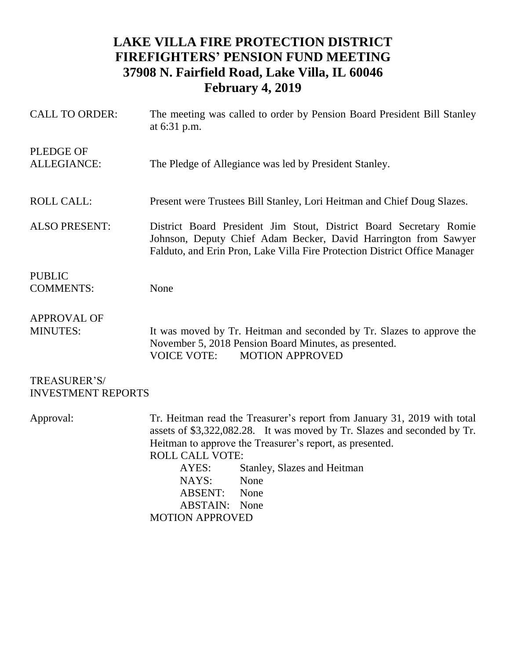## **LAKE VILLA FIRE PROTECTION DISTRICT FIREFIGHTERS' PENSION FUND MEETING 37908 N. Fairfield Road, Lake Villa, IL 60046 February 4, 2019**

| <b>CALL TO ORDER:</b>                     | The meeting was called to order by Pension Board President Bill Stanley<br>at 6:31 p.m.                                                                                                                                                                                                                                       |
|-------------------------------------------|-------------------------------------------------------------------------------------------------------------------------------------------------------------------------------------------------------------------------------------------------------------------------------------------------------------------------------|
| <b>PLEDGE OF</b><br><b>ALLEGIANCE:</b>    | The Pledge of Allegiance was led by President Stanley.                                                                                                                                                                                                                                                                        |
| <b>ROLL CALL:</b>                         | Present were Trustees Bill Stanley, Lori Heitman and Chief Doug Slazes.                                                                                                                                                                                                                                                       |
| <b>ALSO PRESENT:</b>                      | District Board President Jim Stout, District Board Secretary Romie<br>Johnson, Deputy Chief Adam Becker, David Harrington from Sawyer<br>Falduto, and Erin Pron, Lake Villa Fire Protection District Office Manager                                                                                                           |
| <b>PUBLIC</b><br><b>COMMENTS:</b>         | None                                                                                                                                                                                                                                                                                                                          |
| <b>APPROVAL OF</b><br><b>MINUTES:</b>     | It was moved by Tr. Heitman and seconded by Tr. Slazes to approve the<br>November 5, 2018 Pension Board Minutes, as presented.<br><b>VOICE VOTE:</b><br><b>MOTION APPROVED</b>                                                                                                                                                |
| TREASURER'S/<br><b>INVESTMENT REPORTS</b> |                                                                                                                                                                                                                                                                                                                               |
| Approval:                                 | Tr. Heitman read the Treasurer's report from January 31, 2019 with total<br>assets of \$3,322,082.28. It was moved by Tr. Slazes and seconded by Tr.<br>Heitman to approve the Treasurer's report, as presented.<br><b>ROLL CALL VOTE:</b><br>AYES:<br>Stanley, Slazes and Heitman<br>NAYS:<br>None<br><b>ABSENT:</b><br>None |

ABSTAIN: None

MOTION APPROVED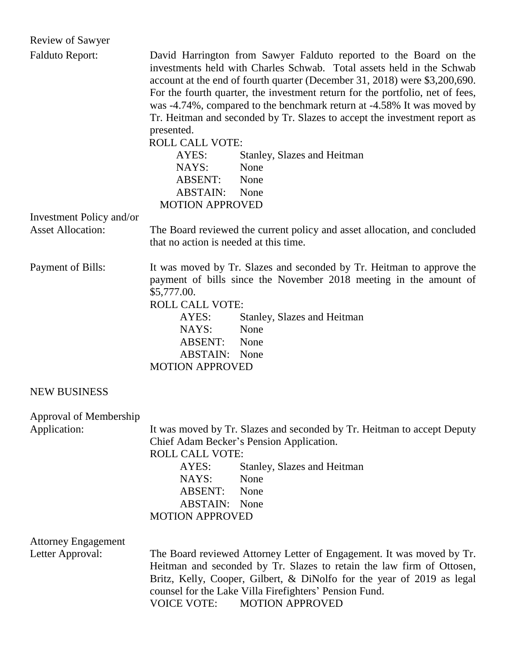| <b>Review of Sawyer</b>                        |                                                                                                                                                                                                                                                                                                                                                                                                                                                                                                                                                                                                                 |
|------------------------------------------------|-----------------------------------------------------------------------------------------------------------------------------------------------------------------------------------------------------------------------------------------------------------------------------------------------------------------------------------------------------------------------------------------------------------------------------------------------------------------------------------------------------------------------------------------------------------------------------------------------------------------|
| <b>Falduto Report:</b>                         | David Harrington from Sawyer Falduto reported to the Board on the<br>investments held with Charles Schwab. Total assets held in the Schwab<br>account at the end of fourth quarter (December 31, 2018) were \$3,200,690.<br>For the fourth quarter, the investment return for the portfolio, net of fees,<br>was -4.74%, compared to the benchmark return at -4.58% It was moved by<br>Tr. Heitman and seconded by Tr. Slazes to accept the investment report as<br>presented.<br><b>ROLL CALL VOTE:</b><br>Stanley, Slazes and Heitman<br>AYES:<br>NAYS:<br>None<br>ABSENT:<br>None<br><b>ABSTAIN:</b><br>None |
| Investment Policy and/or                       | <b>MOTION APPROVED</b>                                                                                                                                                                                                                                                                                                                                                                                                                                                                                                                                                                                          |
| <b>Asset Allocation:</b>                       | The Board reviewed the current policy and asset allocation, and concluded<br>that no action is needed at this time.                                                                                                                                                                                                                                                                                                                                                                                                                                                                                             |
| Payment of Bills:                              | It was moved by Tr. Slazes and seconded by Tr. Heitman to approve the<br>payment of bills since the November 2018 meeting in the amount of<br>\$5,777.00.<br><b>ROLL CALL VOTE:</b><br>AYES:<br>Stanley, Slazes and Heitman<br>None<br>NAYS:<br>ABSENT: None<br><b>ABSTAIN:</b> None<br><b>MOTION APPROVED</b>                                                                                                                                                                                                                                                                                                  |
| <b>NEW BUSINESS</b>                            |                                                                                                                                                                                                                                                                                                                                                                                                                                                                                                                                                                                                                 |
| Approval of Membership<br>Application:         | It was moved by Tr. Slazes and seconded by Tr. Heitman to accept Deputy<br>Chief Adam Becker's Pension Application.<br><b>ROLL CALL VOTE:</b><br>AYES:<br>Stanley, Slazes and Heitman<br>NAYS:<br>None<br>ABSENT:<br>None<br><b>ABSTAIN:</b> None<br><b>MOTION APPROVED</b>                                                                                                                                                                                                                                                                                                                                     |
| <b>Attorney Engagement</b><br>Letter Approval: | The Board reviewed Attorney Letter of Engagement. It was moved by Tr.<br>Heitman and seconded by Tr. Slazes to retain the law firm of Ottosen,<br>Britz, Kelly, Cooper, Gilbert, & DiNolfo for the year of 2019 as legal<br>counsel for the Lake Villa Firefighters' Pension Fund.<br><b>VOICE VOTE:</b><br><b>MOTION APPROVED</b>                                                                                                                                                                                                                                                                              |